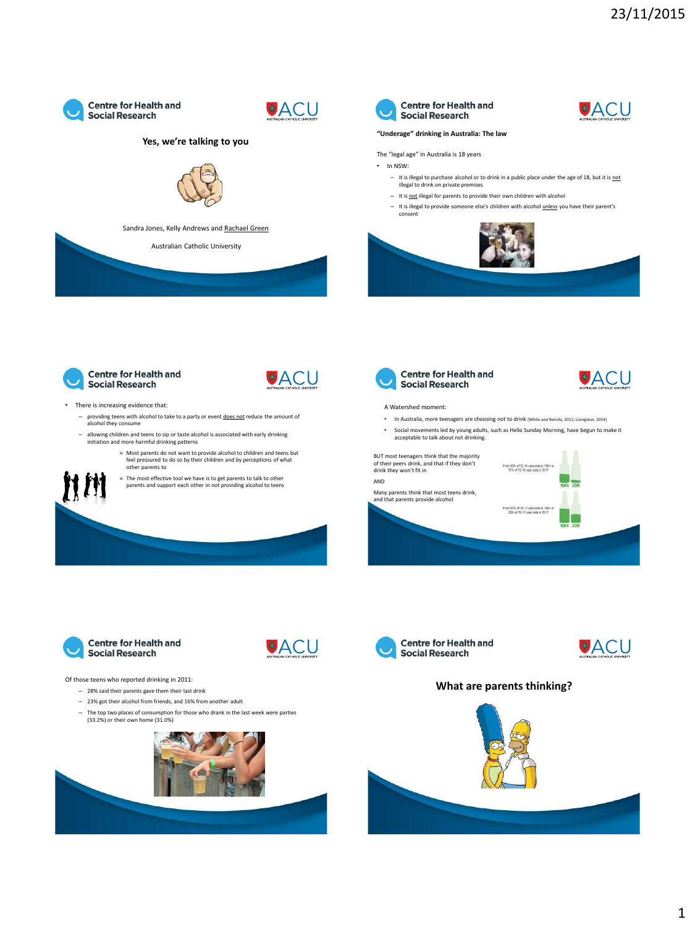



### **Yes, we're talking to you**



Sandra Jones, Kelly Andrews and Rachael Green

Australian Catholic University



### **"Underage" drinking in Australia: The law**



⊕ACU

**VACU** 

- The "legal age" in Australia is 18 years • In NSW:
	- $-$  It is illegal to purchase alcohol or to drink in a public place under the age of 18, but it is not illegal to drink on private premises
	- It is not illegal for parents to provide their own children with alcohol
	- It is illegal to provide someone else's children with alcohol unless you have their parent's consent







### • There is increasing evidence that:

- providing teens with alcohol to take to a party or event **does not** reduce the amount of alcohol they consume
- allowing children and teens to sip or taste alcohol is associated with early drinking initiation and more harmful drinking patterns
	- » Most parents do not want to provide alcohol to children and teens but feel pressured to do so by their children and by perceptions of what other parents to
	- » The most effective tool we have is to get parents to talk to other parents and support each other in not providing alcohol to teens



### A Watershed moment:

- In Australia, more teenagers are choosing not to drink (White and Bariola, 2012; Livingston, 2014)
- Social movements led by young adults, such as Hello Sunday Morning, have begun to make it acceptable to talk about not drinking.

### • BUT most teenagers think that the majority

 $\mathsf{AND}$ • Many parents think that most teens drink,

and that parents provide alcohol





**OACU** 





### **What are parents thinking?**



Of those teens who reported drinking in 2011: – 28% said their parents gave them their last drink

- 23% got their alcohol from friends, and 16% from another adult
- The top two places of consumption for those who drank in the last week were parties (33.2%) or their own home (31.0%)

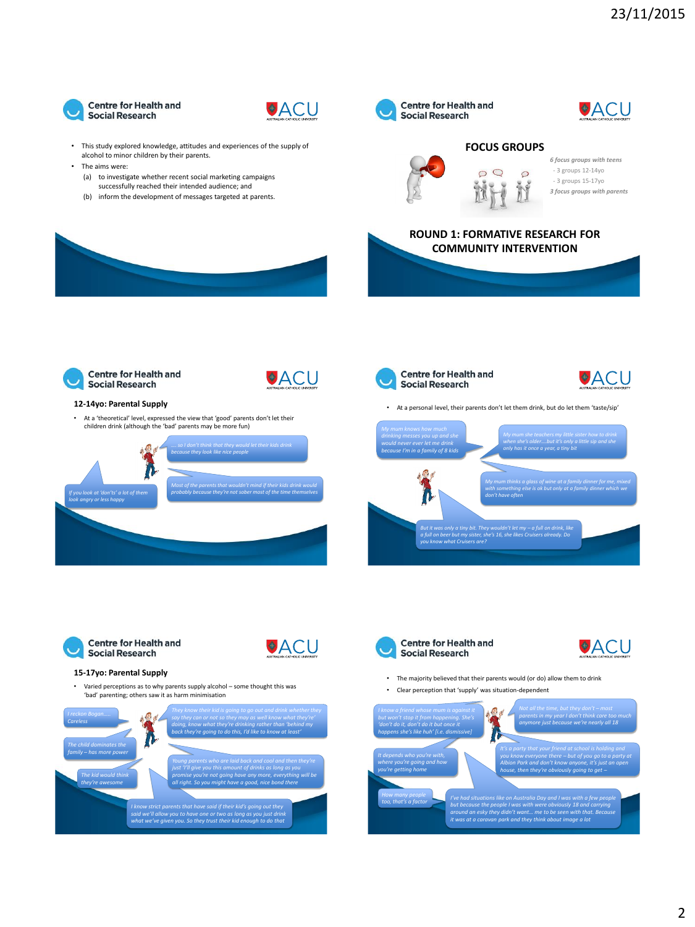

**12-14yo: Parental Supply**

**Social Research** 

**Centre for Health and** 

*If you look at 'don'ts' a lot of them* 

*look angry or less happy*



**OACU** 

- This study explored knowledge, attitudes and experiences of the supply of alcohol to minor children by their parents.
- The aims were:
	- (a) to investigate whether recent social marketing campaigns successfully reached their intended audience; and
	- (b) inform the development of messages targeted at parents.

• At a 'theoretical' level, expressed the view that 'good' parents don't let their children drink (although the 'bad' parents may be more fun)

*…. so I don't think that they would let their kids drink because they look like nice people* 

*Most of the parents that wouldn't mind if their kids drink would probably because they're not sober most of the time themselves* 



• At a personal level, their parents don't let them drink, but do let them 'taste/sip'





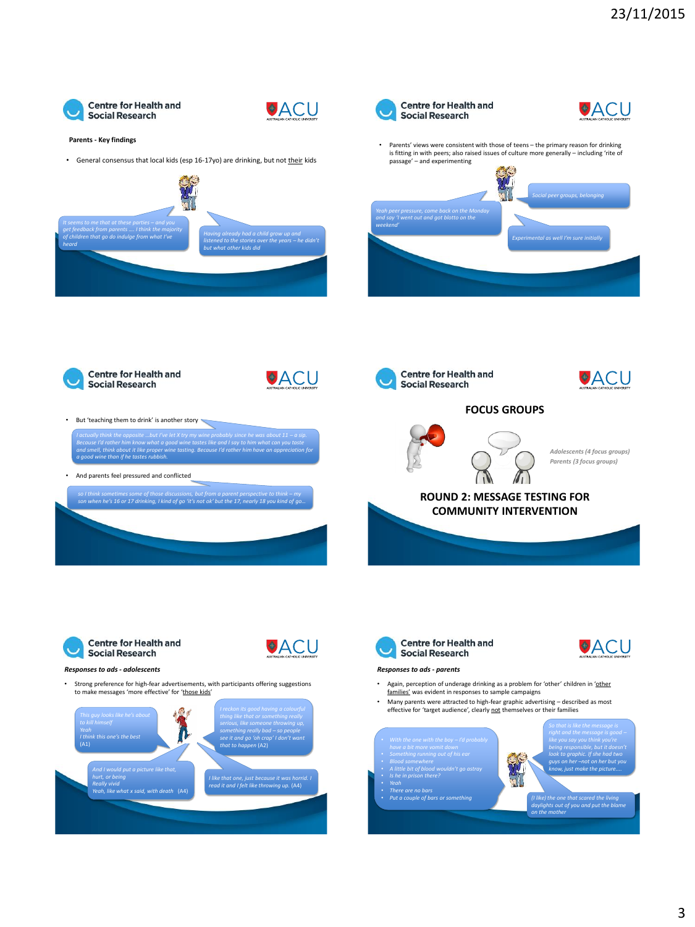



#### **Parents - Key findings**

• General consensus that local kids (esp 16-17yo) are drinking, but not their kids



*Because I'd rather him know what a good wine tastes like and I say to him what can you taste and smell, think about it like proper wine tasting. Because I'd rather him have an appreciation for* 

*so I think sometimes some of those discussions, but from a parent perspective to think – my*<br>son when he's 16 or 17 drinking, I kind of go 'it's not ok' but the 17, nearly 18 you kind of go...





But 'teaching them to drink' is another story

• And parents feel pressured and conflicted

*a good wine than if he tastes rubbish.*





**Centre for Health and** 

**Social Research** 

*Adolescents (4 focus groups) Parents (3 focus groups)*

⊕ACU

⊕ACU

## **ROUND 2: MESSAGE TESTING FOR COMMUNITY INTERVENTION**



⊕ACU

#### *Responses to ads - adolescents*

• Strong preference for high-fear advertisements, with participants offering suggestions to make messages 'more effective' for 'those kids'







#### *Responses to ads - parents*

- Again, perception of underage drinking as a problem for 'other' children in 'other families' was evident in responses to sample campaigns
- Many parents were attracted to high-fear graphic advertising described as most effective for 'target audience', clearly not themselves or their families